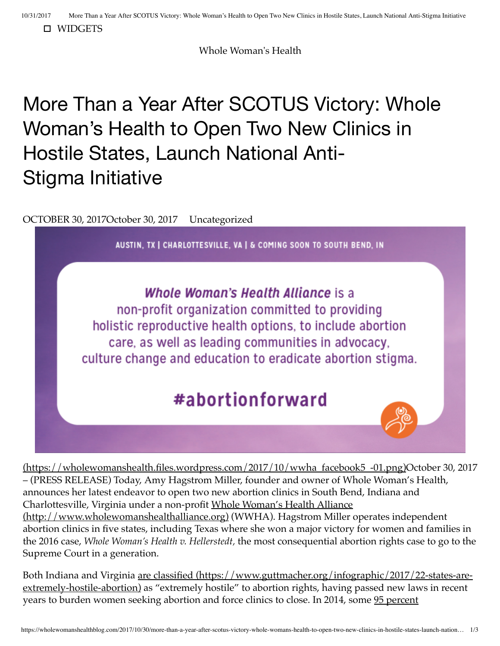[WIDGETS](#page-2-0)

Whole Woman's Health

## More Than a Year After SCOTUS Victory: Whole Woman's Health to Open Two New Clinics in Hostile States, Launch National Anti-Stigma Initiative

[OCTOBER 30, 2017October 30, 2017](https://wholewomanshealthblog.com/2017/10/30/more-than-a-year-after-scotus-victory-whole-womans-health-to-open-two-new-clinics-in-hostile-states-launch-national-anti-stigma-initiative/) [Uncategorized](https://wholewomanshealthblog.com/category/uncategorized/)



**Whole Woman's Health Alliance is a** non-profit organization committed to providing holistic reproductive health options, to include abortion care, as well as leading communities in advocacy, culture change and education to eradicate abortion stigma.

## #abortionforward

[\(https://wholewomanshealth.files.wordpress.com/2017/10/wwha\\_facebook5\\_-01.png\)October 30, 20](https://wholewomanshealth.files.wordpress.com/2017/10/wwha_facebook5_-01.png)17 – (PRESS RELEASE) Today, Amy Hagstrom Miller, founder and owner of Whole Woman's Health, announces her latest endeavor to open two new abortion clinics in South Bend, Indiana and [Charlottesville, Virginia under a non-profit Whole Woman's Health Alliance](http://www.wholewomanshealthalliance.org/) (http://www.wholewomanshealthalliance.org) (WWHA). Hagstrom Miller operates independent abortion clinics in five states, including Texas where she won a major victory for women and families in the 2016 case, *Whole Woman's Health v. Hellerstedt,* the most consequential abortion rights case to go to the Supreme Court in a generation.

[Both Indiana and Virginia are classified \(https://www.guttmacher.org/infographic/2017/22-states-are](https://www.guttmacher.org/infographic/2017/22-states-are-extremely-hostile-abortion)extremely-hostile-abortion) as "extremely hostile" to abortion rights, having passed new laws in recent [years to burden women seeking abortion and force clinics to close. In 2014, some 95 percent](https://www.guttmacher.org/fact-sheet/state-facts-about-abortion-indiana)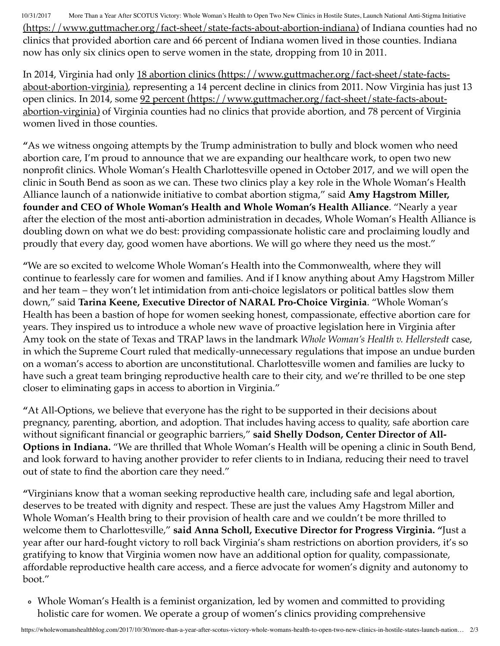10/31/2017 More Than a Year After SCOTUS Victory: Whole Woman's Health to Open Two New Clinics in Hostile States, Launch National Anti-Stigma Initiative [\(https://www.guttmacher.org/fact-sheet/state-facts-about-abortion-indiana\) of Indiana cou](https://www.guttmacher.org/fact-sheet/state-facts-about-abortion-indiana)nties had no clinics that provided abortion care and 66 percent of Indiana women lived in those counties. Indiana now has only six clinics open to serve women in the state, dropping from 10 in 2011.

In 2014, Virginia had only 18 abortion clinics (https://www.guttmacher.org/fact-sheet/state-facts[about-abortion-virginia\), representing a 14 percent decline in clinics from 2011. Now Virginia has ju](https://www.guttmacher.org/fact-sheet/state-facts-about-abortion-virginia)st 13 [open clinics. In 2014, some 92 percent \(https://www.guttmacher.org/fact-sheet/state-facts-about](https://www.guttmacher.org/fact-sheet/state-facts-about-abortion-virginia)abortion-virginia) of Virginia counties had no clinics that provide abortion, and 78 percent of Virginia women lived in those counties.

**"**As we witness ongoing attempts by the Trump administration to bully and block women who need abortion care, I'm proud to announce that we are expanding our healthcare work, to open two new nonprofit clinics. Whole Woman's Health Charlottesville opened in October 2017, and we will open the clinic in South Bend as soon as we can. These two clinics play a key role in the Whole Woman's Health Alliance launch of a nationwide initiative to combat abortion stigma," said **Amy Hagstrom Miller, founder and CEO of Whole Woman's Health and Whole Woman's Health Alliance**. "Nearly a year after the election of the most anti-abortion administration in decades, Whole Woman's Health Alliance is doubling down on what we do best: providing compassionate holistic care and proclaiming loudly and proudly that every day, good women have abortions. We will go where they need us the most."

**"**We are so excited to welcome Whole Woman's Health into the Commonwealth, where they will continue to fearlessly care for women and families. And if I know anything about Amy Hagstrom Miller and her team – they won't let intimidation from anti-choice legislators or political battles slow them down," said **Tarina Keene, Executive Director of NARAL Pro-Choice Virginia**. "Whole Woman's Health has been a bastion of hope for women seeking honest, compassionate, effective abortion care for years. They inspired us to introduce a whole new wave of proactive legislation here in Virginia after Amy took on the state of Texas and TRAP laws in the landmark *Whole Woman's Health v. Hellerstedt* case, in which the Supreme Court ruled that medically-unnecessary regulations that impose an undue burden on a woman's access to abortion are unconstitutional. Charlottesville women and families are lucky to have such a great team bringing reproductive health care to their city, and we're thrilled to be one step closer to eliminating gaps in access to abortion in Virginia."

**"**At All-Options, we believe that everyone has the right to be supported in their decisions about pregnancy, parenting, abortion, and adoption. That includes having access to quality, safe abortion care without significant financial or geographic barriers," **said Shelly Dodson, Center Director of All-Options in Indiana.** "We are thrilled that Whole Woman's Health will be opening a clinic in South Bend, and look forward to having another provider to refer clients to in Indiana, reducing their need to travel out of state to find the abortion care they need."

**"**Virginians know that a woman seeking reproductive health care, including safe and legal abortion, deserves to be treated with dignity and respect. These are just the values Amy Hagstrom Miller and Whole Woman's Health bring to their provision of health care and we couldn't be more thrilled to welcome them to Charlottesville," **said Anna Scholl, Executive Director for Progress Virginia. "**Just a year after our hard-fought victory to roll back Virginia's sham restrictions on abortion providers, it's so gratifying to know that Virginia women now have an additional option for quality, compassionate, affordable reproductive health care access, and a fierce advocate for women's dignity and autonomy to boot."

Whole Woman's Health is a feminist organization, led by women and committed to providing holistic care for women. We operate a group of women's clinics providing comprehensive